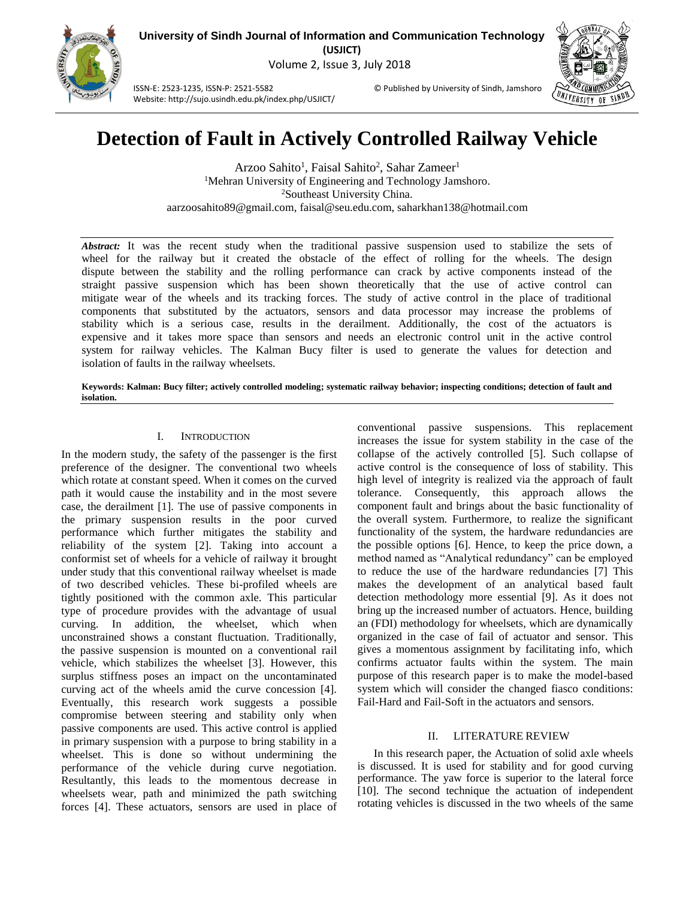

**University of Sindh Journal of Information and Communication Technology (USJICT)** Volume 2, Issue 3, July 2018

ISSN-E: 2523-1235, ISSN-P: 2521-5582 © Published by University of Sindh, Jamshoro Website: http://sujo.usindh.edu.pk/index.php/USJICT/



# **Detection of Fault in Actively Controlled Railway Vehicle**

Arzoo Sahito<sup>1</sup>, Faisal Sahito<sup>2</sup>, Sahar Zameer<sup>1</sup> <sup>1</sup>Mehran University of Engineering and Technology Jamshoro. <sup>2</sup>Southeast University China. aarzoosahito89@gmail.com, faisal@seu.edu.com, saharkhan138@hotmail.com

*Abstract:* It was the recent study when the traditional passive suspension used to stabilize the sets of wheel for the railway but it created the obstacle of the effect of rolling for the wheels. The design dispute between the stability and the rolling performance can crack by active components instead of the straight passive suspension which has been shown theoretically that the use of active control can mitigate wear of the wheels and its tracking forces. The study of active control in the place of traditional components that substituted by the actuators, sensors and data processor may increase the problems of stability which is a serious case, results in the derailment. Additionally, the cost of the actuators is expensive and it takes more space than sensors and needs an electronic control unit in the active control system for railway vehicles. The Kalman Bucy filter is used to generate the values for detection and isolation of faults in the railway wheelsets.

**Keywords: Kalman: Bucy filter; actively controlled modeling; systematic railway behavior; inspecting conditions; detection of fault and isolation.** 

## I. INTRODUCTION

In the modern study, the safety of the passenger is the first preference of the designer. The conventional two wheels which rotate at constant speed. When it comes on the curved path it would cause the instability and in the most severe case, the derailment [1]. The use of passive components in the primary suspension results in the poor curved performance which further mitigates the stability and reliability of the system [2]. Taking into account a conformist set of wheels for a vehicle of railway it brought under study that this conventional railway wheelset is made of two described vehicles. These bi-profiled wheels are tightly positioned with the common axle. This particular type of procedure provides with the advantage of usual curving. In addition, the wheelset, which when unconstrained shows a constant fluctuation. Traditionally, the passive suspension is mounted on a conventional rail vehicle, which stabilizes the wheelset [3]. However, this surplus stiffness poses an impact on the uncontaminated curving act of the wheels amid the curve concession [4]. Eventually, this research work suggests a possible compromise between steering and stability only when passive components are used. This active control is applied in primary suspension with a purpose to bring stability in a wheelset. This is done so without undermining the performance of the vehicle during curve negotiation. Resultantly, this leads to the momentous decrease in wheelsets wear, path and minimized the path switching forces [4]. These actuators, sensors are used in place of

conventional passive suspensions. This replacement increases the issue for system stability in the case of the collapse of the actively controlled [5]. Such collapse of active control is the consequence of loss of stability. This high level of integrity is realized via the approach of fault tolerance. Consequently, this approach allows the component fault and brings about the basic functionality of the overall system. Furthermore, to realize the significant functionality of the system, the hardware redundancies are the possible options [6]. Hence, to keep the price down, a method named as "Analytical redundancy" can be employed to reduce the use of the hardware redundancies [7] This makes the development of an analytical based fault detection methodology more essential [9]. As it does not bring up the increased number of actuators. Hence, building an (FDI) methodology for wheelsets, which are dynamically organized in the case of fail of actuator and sensor. This gives a momentous assignment by facilitating info, which confirms actuator faults within the system. The main purpose of this research paper is to make the model-based system which will consider the changed fiasco conditions: Fail-Hard and Fail-Soft in the actuators and sensors.

## II. LITERATURE REVIEW

In this research paper, the Actuation of solid axle wheels is discussed. It is used for stability and for good curving performance. The yaw force is superior to the lateral force [10]. The second technique the actuation of independent rotating vehicles is discussed in the two wheels of the same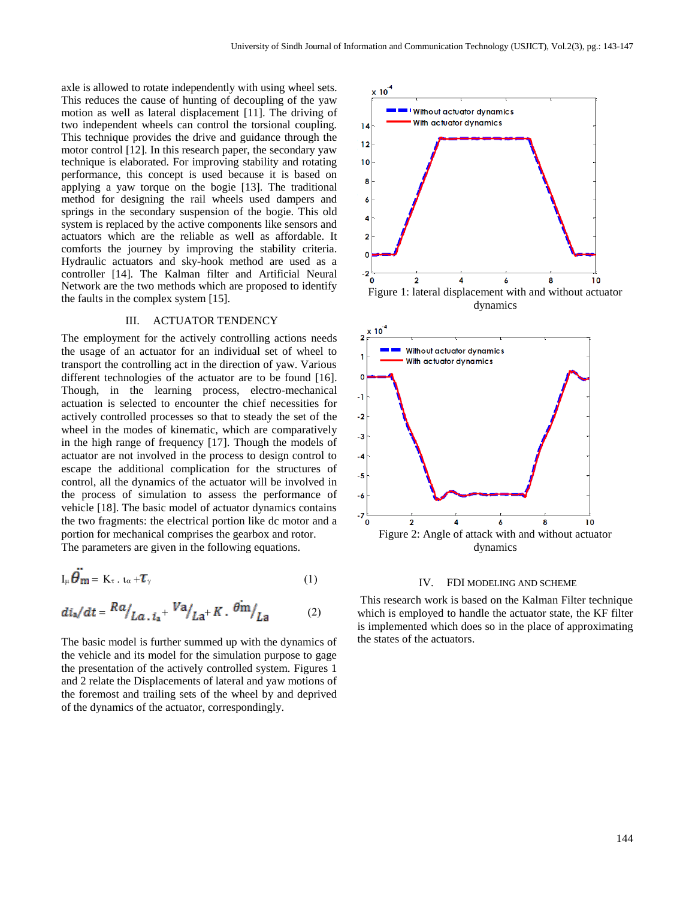axle is allowed to rotate independently with using wheel sets. This reduces the cause of hunting of decoupling of the yaw motion as well as lateral displacement [11]. The driving of two independent wheels can control the torsional coupling. This technique provides the drive and guidance through the motor control [12]. In this research paper, the secondary yaw technique is elaborated. For improving stability and rotating performance, this concept is used because it is based on applying a yaw torque on the bogie [13]. The traditional method for designing the rail wheels used dampers and springs in the secondary suspension of the bogie. This old system is replaced by the active components like sensors and actuators which are the reliable as well as affordable. It comforts the journey by improving the stability criteria. Hydraulic actuators and sky-hook method are used as a controller [14]. The Kalman filter and Artificial Neural Network are the two methods which are proposed to identify the faults in the complex system [15].

## III. ACTUATOR TENDENCY

The employment for the actively controlling actions needs the usage of an actuator for an individual set of wheel to transport the controlling act in the direction of yaw. Various different technologies of the actuator are to be found [16]. Though, in the learning process, electro-mechanical actuation is selected to encounter the chief necessities for actively controlled processes so that to steady the set of the wheel in the modes of kinematic, which are comparatively in the high range of frequency [17]. Though the models of actuator are not involved in the process to design control to escape the additional complication for the structures of control, all the dynamics of the actuator will be involved in the process of simulation to assess the performance of vehicle [18]. The basic model of actuator dynamics contains the two fragments: the electrical portion like dc motor and a portion for mechanical comprises the gearbox and rotor. The parameters are given in the following equations.

$$
I_{\mu}\ddot{\theta}_{m} = K_{\tau} \cdot t_{\alpha} + \tau_{\gamma}
$$
 (1)

$$
di_a/dt = \frac{Ra}{La \cdot ia} + \frac{Va}{La} + K \cdot \theta m /_{La}
$$
 (2)

The basic model is further summed up with the dynamics of the vehicle and its model for the simulation purpose to gage the presentation of the actively controlled system. Figures 1 and 2 relate the Displacements of lateral and yaw motions of the foremost and trailing sets of the wheel by and deprived of the dynamics of the actuator, correspondingly.





## IV. FDI MODELING AND SCHEME

This research work is based on the Kalman Filter technique which is employed to handle the actuator state, the KF filter is implemented which does so in the place of approximating the states of the actuators.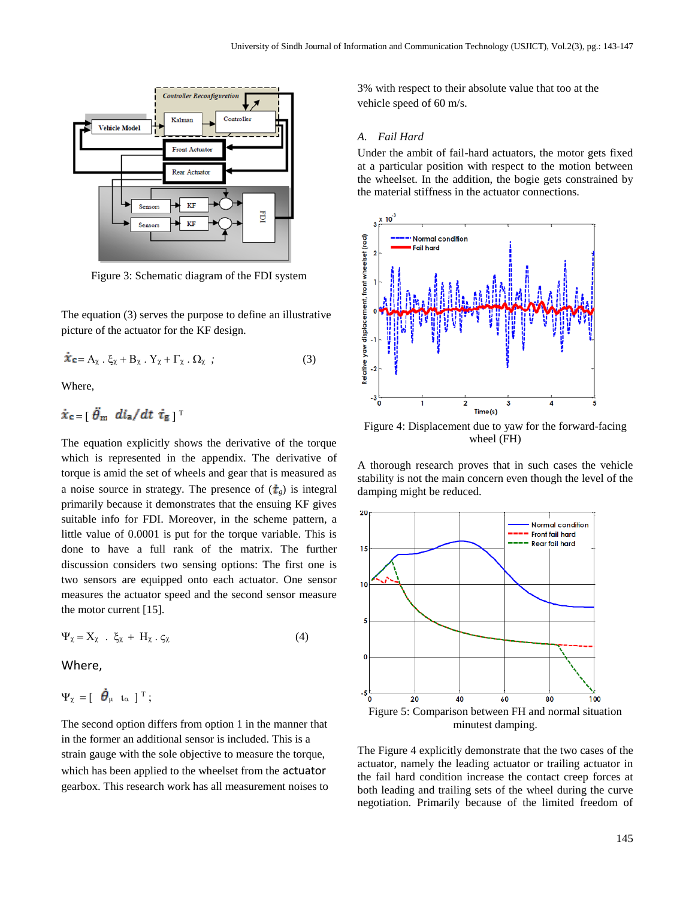

Figure 3: Schematic diagram of the FDI system

The equation (3) serves the purpose to define an illustrative picture of the actuator for the KF design.

$$
\dot{\mathbf{x}}_{\mathbf{c}} = A_{\chi} \cdot \xi_{\chi} + B_{\chi} \cdot Y_{\chi} + \Gamma_{\chi} \cdot \Omega_{\chi} ; \qquad (3)
$$

Where,

$$
\dot{x}_{\rm c} = [\ddot{\theta}_{\rm m} \, di_{\rm a}/dt \, \dot{\tau}_{\rm g}]^{\rm T}
$$

The equation explicitly shows the derivative of the torque which is represented in the appendix. The derivative of torque is amid the set of wheels and gear that is measured as a noise source in strategy. The presence of  $(\dot{\tau}_g)$  is integral primarily because it demonstrates that the ensuing KF gives suitable info for FDI. Moreover, in the scheme pattern, a little value of 0.0001 is put for the torque variable. This is done to have a full rank of the matrix. The further discussion considers two sensing options: The first one is two sensors are equipped onto each actuator. One sensor measures the actuator speed and the second sensor measure the motor current [15].

$$
\Psi_{\chi} = X_{\chi} \quad \xi_{\chi} + H_{\chi} \quad \zeta_{\chi} \tag{4}
$$

Where,

$$
\Psi_{\chi} = \left[\begin{array}{cc} \hat{\boldsymbol{\theta}}_{\mu} & \iota_{\alpha} \end{array}\right]^{\mathrm{T}};
$$

The second option differs from option 1 in the manner that in the former an additional sensor is included. This is a strain gauge with the sole objective to measure the torque, which has been applied to the wheelset from the actuator gearbox. This research work has all measurement noises to 3% with respect to their absolute value that too at the vehicle speed of 60 m/s.

# *A. Fail Hard*

Under the ambit of fail-hard actuators, the motor gets fixed at a particular position with respect to the motion between the wheelset. In the addition, the bogie gets constrained by the material stiffness in the actuator connections.



Figure 4: Displacement due to yaw for the forward-facing wheel (FH)

A thorough research proves that in such cases the vehicle stability is not the main concern even though the level of the damping might be reduced.



The Figure 4 explicitly demonstrate that the two cases of the actuator, namely the leading actuator or trailing actuator in the fail hard condition increase the contact creep forces at both leading and trailing sets of the wheel during the curve negotiation. Primarily because of the limited freedom of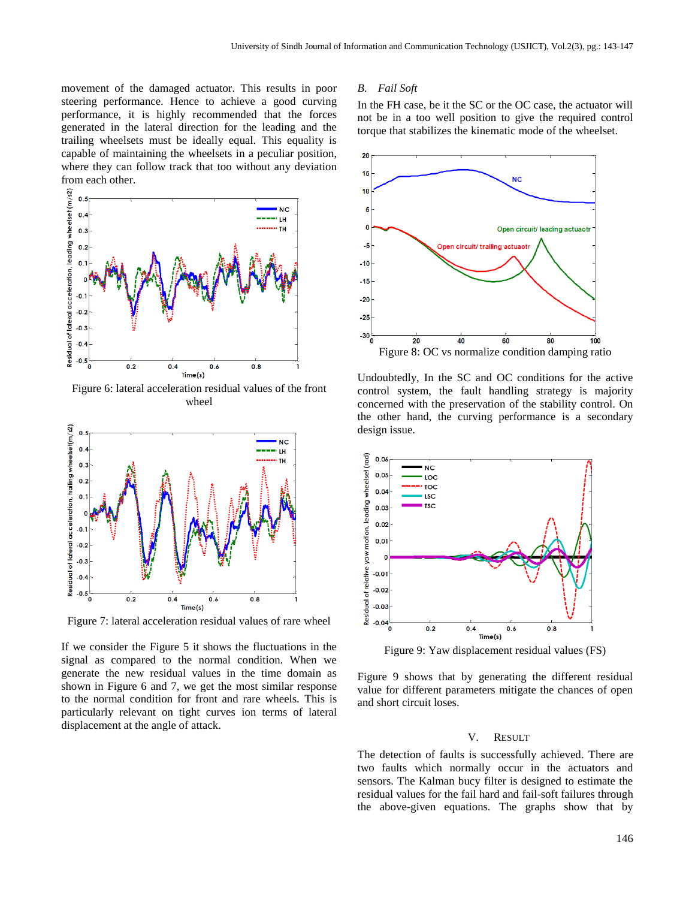movement of the damaged actuator. This results in poor steering performance. Hence to achieve a good curving performance, it is highly recommended that the forces generated in the lateral direction for the leading and the trailing wheelsets must be ideally equal. This equality is capable of maintaining the wheelsets in a peculiar position, where they can follow track that too without any deviation from each other.



Figure 6: lateral acceleration residual values of the front wheel



Figure 7: lateral acceleration residual values of rare wheel

If we consider the Figure 5 it shows the fluctuations in the signal as compared to the normal condition. When we generate the new residual values in the time domain as shown in Figure 6 and 7, we get the most similar response to the normal condition for front and rare wheels. This is particularly relevant on tight curves ion terms of lateral displacement at the angle of attack.

## *B. Fail Soft*

In the FH case, be it the SC or the OC case, the actuator will not be in a too well position to give the required control torque that stabilizes the kinematic mode of the wheelset.



Undoubtedly, In the SC and OC conditions for the active control system, the fault handling strategy is majority concerned with the preservation of the stability control. On the other hand, the curving performance is a secondary design issue.



Figure 9: Yaw displacement residual values (FS)

Figure 9 shows that by generating the different residual value for different parameters mitigate the chances of open and short circuit loses.

## V. RESULT

The detection of faults is successfully achieved. There are two faults which normally occur in the actuators and sensors. The Kalman bucy filter is designed to estimate the residual values for the fail hard and fail-soft failures through the above-given equations. The graphs show that by